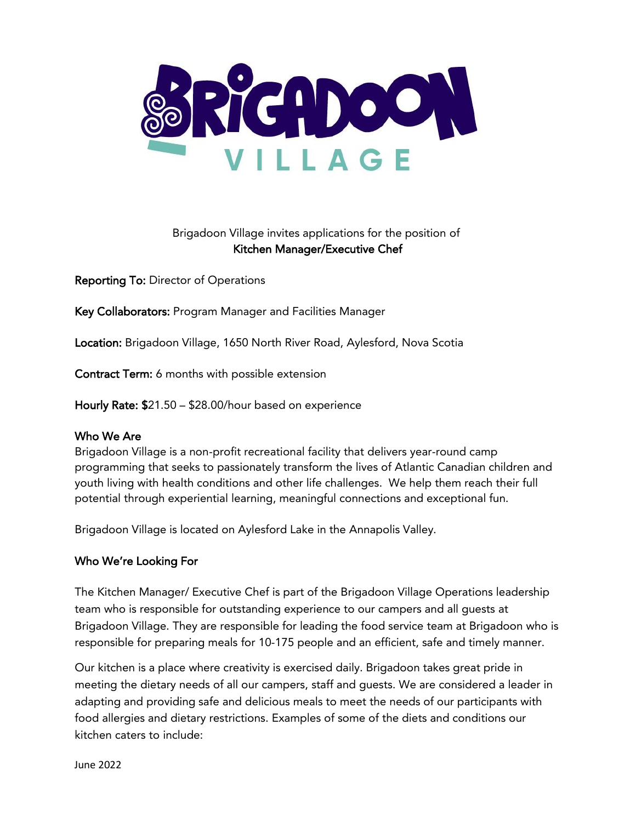

# Brigadoon Village invites applications for the position of Kitchen Manager/Executive Chef

Reporting To: Director of Operations

Key Collaborators: Program Manager and Facilities Manager

Location: Brigadoon Village, 1650 North River Road, Aylesford, Nova Scotia

Contract Term: 6 months with possible extension

Hourly Rate: \$21.50 – \$28.00/hour based on experience

### Who We Are

Brigadoon Village is a non-profit recreational facility that delivers year-round camp programming that seeks to passionately transform the lives of Atlantic Canadian children and youth living with health conditions and other life challenges. We help them reach their full potential through experiential learning, meaningful connections and exceptional fun.

Brigadoon Village is located on Aylesford Lake in the Annapolis Valley.

# Who We're Looking For

The Kitchen Manager/ Executive Chef is part of the Brigadoon Village Operations leadership team who is responsible for outstanding experience to our campers and all guests at Brigadoon Village. They are responsible for leading the food service team at Brigadoon who is responsible for preparing meals for 10-175 people and an efficient, safe and timely manner.

Our kitchen is a place where creativity is exercised daily. Brigadoon takes great pride in meeting the dietary needs of all our campers, staff and guests. We are considered a leader in adapting and providing safe and delicious meals to meet the needs of our participants with food allergies and dietary restrictions. Examples of some of the diets and conditions our kitchen caters to include: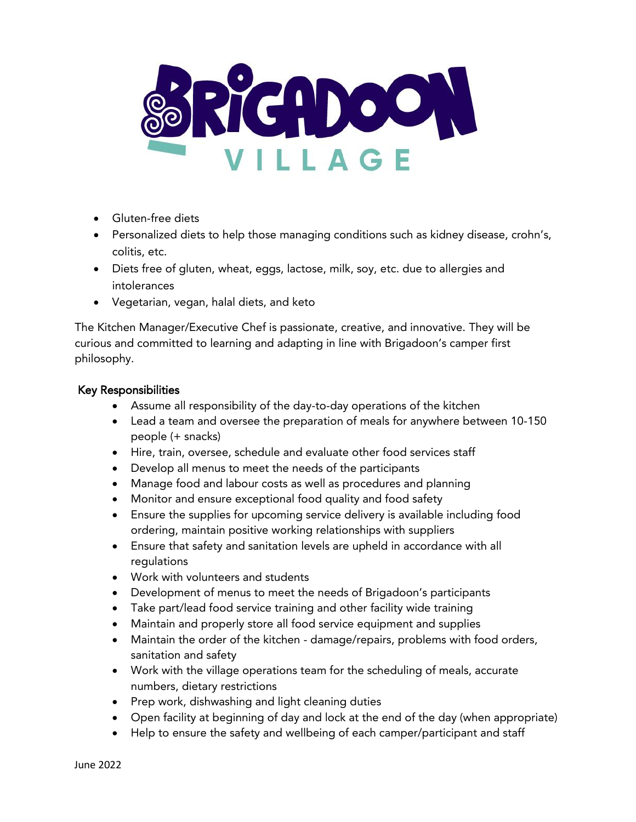

- Gluten-free diets
- Personalized diets to help those managing conditions such as kidney disease, crohn's, colitis, etc.
- Diets free of gluten, wheat, eggs, lactose, milk, soy, etc. due to allergies and intolerances
- Vegetarian, vegan, halal diets, and keto

The Kitchen Manager/Executive Chef is passionate, creative, and innovative. They will be curious and committed to learning and adapting in line with Brigadoon's camper first philosophy.

#### Key Responsibilities

- Assume all responsibility of the day-to-day operations of the kitchen
- Lead a team and oversee the preparation of meals for anywhere between 10-150 people (+ snacks)
- Hire, train, oversee, schedule and evaluate other food services staff
- Develop all menus to meet the needs of the participants
- Manage food and labour costs as well as procedures and planning
- Monitor and ensure exceptional food quality and food safety
- Ensure the supplies for upcoming service delivery is available including food ordering, maintain positive working relationships with suppliers
- Ensure that safety and sanitation levels are upheld in accordance with all regulations
- Work with volunteers and students
- Development of menus to meet the needs of Brigadoon's participants
- Take part/lead food service training and other facility wide training
- Maintain and properly store all food service equipment and supplies
- Maintain the order of the kitchen damage/repairs, problems with food orders, sanitation and safety
- Work with the village operations team for the scheduling of meals, accurate numbers, dietary restrictions
- Prep work, dishwashing and light cleaning duties
- Open facility at beginning of day and lock at the end of the day (when appropriate)
- Help to ensure the safety and wellbeing of each camper/participant and staff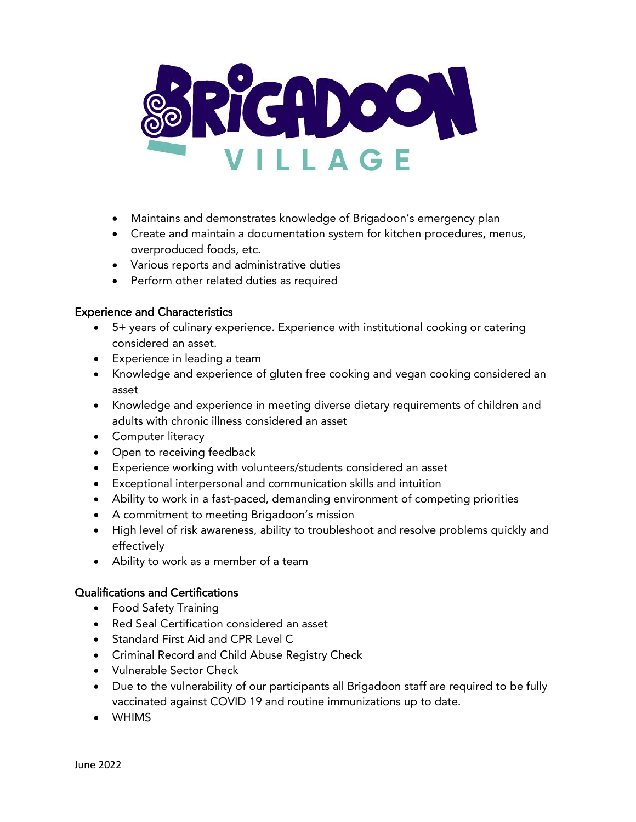

- Maintains and demonstrates knowledge of Brigadoon's emergency plan
- Create and maintain a documentation system for kitchen procedures, menus, overproduced foods, etc.
- Various reports and administrative duties
- Perform other related duties as required

#### Experience and Characteristics

- 5+ years of culinary experience. Experience with institutional cooking or catering considered an asset.
- Experience in leading a team
- Knowledge and experience of gluten free cooking and vegan cooking considered an asset
- Knowledge and experience in meeting diverse dietary requirements of children and adults with chronic illness considered an asset
- Computer literacy
- Open to receiving feedback
- Experience working with volunteers/students considered an asset
- Exceptional interpersonal and communication skills and intuition
- Ability to work in a fast-paced, demanding environment of competing priorities
- A commitment to meeting Brigadoon's mission
- High level of risk awareness, ability to troubleshoot and resolve problems quickly and effectively
- Ability to work as a member of a team

### Qualifications and Certifications

- Food Safety Training
- Red Seal Certification considered an asset
- Standard First Aid and CPR Level C
- Criminal Record and Child Abuse Registry Check
- Vulnerable Sector Check
- Due to the vulnerability of our participants all Brigadoon staff are required to be fully vaccinated against COVID 19 and routine immunizations up to date.
- WHIMS